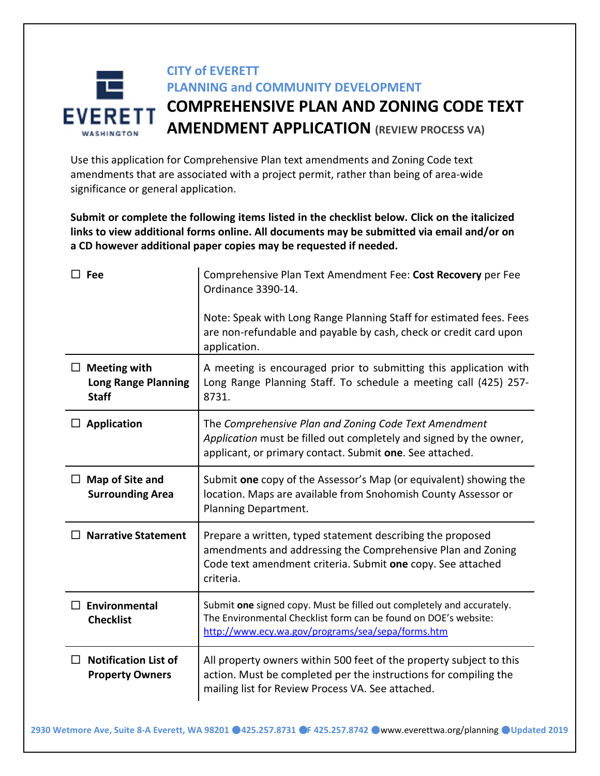# **CITY of EVERETT PLANNING and COMMUNITY DEVELOPMENT COMPREHENSIVE PLAN AND ZONING CODE TEXT EVERETT AMENDMENT APPLICATION (REVIEW PROCESS VA)**

Use this application for Comprehensive Plan text amendments and Zoning Code text amendments that are associated with a project permit, rather than being of area-wide significance or general application.

**Submit or complete the following items listed in the checklist below. Click on the italicized links to view additional forms online. All documents may be submitted via email and/or on a CD however additional paper copies may be requested if needed.**

| $\square$ Fee                                                     | Comprehensive Plan Text Amendment Fee: Cost Recovery per Fee<br>Ordinance 3390-14.                                                                                                                    |
|-------------------------------------------------------------------|-------------------------------------------------------------------------------------------------------------------------------------------------------------------------------------------------------|
|                                                                   | Note: Speak with Long Range Planning Staff for estimated fees. Fees<br>are non-refundable and payable by cash, check or credit card upon<br>application.                                              |
| $\Box$ Meeting with<br><b>Long Range Planning</b><br><b>Staff</b> | A meeting is encouraged prior to submitting this application with<br>Long Range Planning Staff. To schedule a meeting call (425) 257-<br>8731.                                                        |
| $\Box$ Application                                                | The Comprehensive Plan and Zoning Code Text Amendment<br>Application must be filled out completely and signed by the owner,<br>applicant, or primary contact. Submit one. See attached.               |
| $\Box$ Map of Site and<br><b>Surrounding Area</b>                 | Submit one copy of the Assessor's Map (or equivalent) showing the<br>location. Maps are available from Snohomish County Assessor or<br>Planning Department.                                           |
| <b>Narrative Statement</b>                                        | Prepare a written, typed statement describing the proposed<br>amendments and addressing the Comprehensive Plan and Zoning<br>Code text amendment criteria. Submit one copy. See attached<br>criteria. |
| Environmental<br>П<br><b>Checklist</b>                            | Submit one signed copy. Must be filled out completely and accurately.<br>The Environmental Checklist form can be found on DOE's website:<br>http://www.ecy.wa.gov/programs/sea/sepa/forms.htm         |
| <b>Notification List of</b><br>П<br><b>Property Owners</b>        | All property owners within 500 feet of the property subject to this<br>action. Must be completed per the instructions for compiling the<br>mailing list for Review Process VA. See attached.          |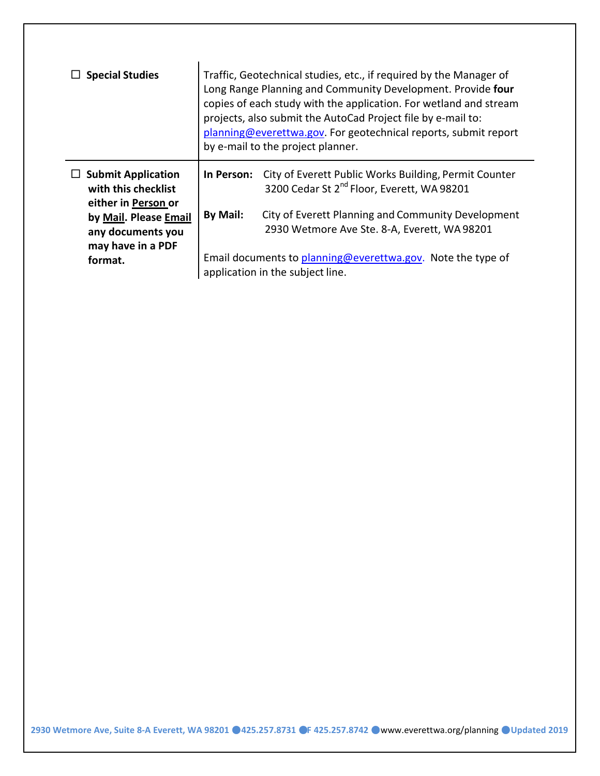| <b>Special Studies</b>                                                  | Traffic, Geotechnical studies, etc., if required by the Manager of<br>Long Range Planning and Community Development. Provide four<br>copies of each study with the application. For wetland and stream<br>projects, also submit the AutoCad Project file by e-mail to:<br>planning@everettwa.gov. For geotechnical reports, submit report<br>by e-mail to the project planner. |                                                                                                                 |  |
|-------------------------------------------------------------------------|--------------------------------------------------------------------------------------------------------------------------------------------------------------------------------------------------------------------------------------------------------------------------------------------------------------------------------------------------------------------------------|-----------------------------------------------------------------------------------------------------------------|--|
| <b>Submit Application</b><br>with this checklist<br>either in Person or | In Person:                                                                                                                                                                                                                                                                                                                                                                     | City of Everett Public Works Building, Permit Counter<br>3200 Cedar St 2 <sup>nd</sup> Floor, Everett, WA 98201 |  |
| by Mail. Please Email<br>any documents you<br>may have in a PDF         | By Mail:                                                                                                                                                                                                                                                                                                                                                                       | City of Everett Planning and Community Development<br>2930 Wetmore Ave Ste. 8-A, Everett, WA 98201              |  |
| format.                                                                 | Email documents to planning@everettwa.gov. Note the type of<br>application in the subject line.                                                                                                                                                                                                                                                                                |                                                                                                                 |  |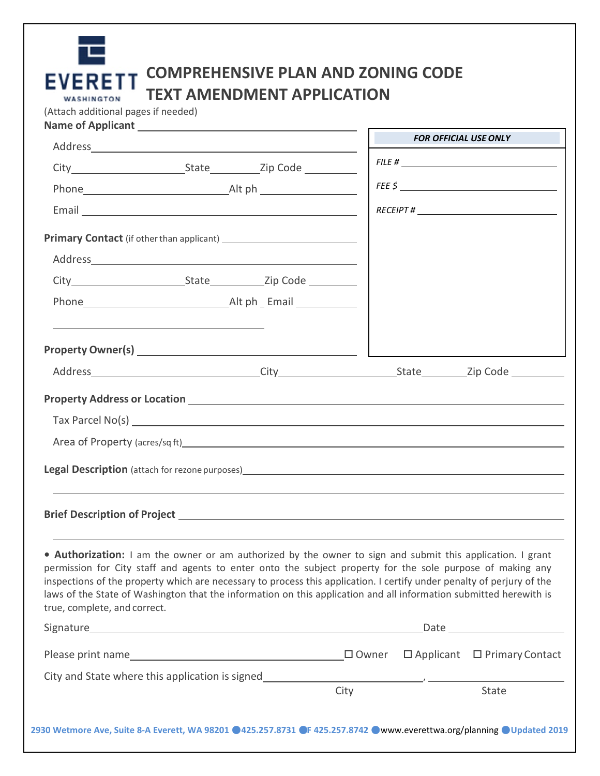|                              |                                                       |                 | FILE #                                                                                                                                                                                                                                                                                                                                                                                                                                                                   |
|------------------------------|-------------------------------------------------------|-----------------|--------------------------------------------------------------------------------------------------------------------------------------------------------------------------------------------------------------------------------------------------------------------------------------------------------------------------------------------------------------------------------------------------------------------------------------------------------------------------|
|                              |                                                       |                 |                                                                                                                                                                                                                                                                                                                                                                                                                                                                          |
|                              |                                                       |                 |                                                                                                                                                                                                                                                                                                                                                                                                                                                                          |
|                              |                                                       |                 |                                                                                                                                                                                                                                                                                                                                                                                                                                                                          |
|                              |                                                       |                 |                                                                                                                                                                                                                                                                                                                                                                                                                                                                          |
|                              |                                                       |                 |                                                                                                                                                                                                                                                                                                                                                                                                                                                                          |
|                              |                                                       |                 |                                                                                                                                                                                                                                                                                                                                                                                                                                                                          |
|                              |                                                       |                 |                                                                                                                                                                                                                                                                                                                                                                                                                                                                          |
|                              |                                                       |                 |                                                                                                                                                                                                                                                                                                                                                                                                                                                                          |
|                              |                                                       |                 |                                                                                                                                                                                                                                                                                                                                                                                                                                                                          |
|                              |                                                       |                 |                                                                                                                                                                                                                                                                                                                                                                                                                                                                          |
|                              |                                                       |                 |                                                                                                                                                                                                                                                                                                                                                                                                                                                                          |
|                              |                                                       |                 | Area of Property (acres/sq ft) Manual Area and Area of Property (acres /sq ft)                                                                                                                                                                                                                                                                                                                                                                                           |
|                              | <b>Legal Description</b> (attach for rezone purposes) |                 |                                                                                                                                                                                                                                                                                                                                                                                                                                                                          |
|                              |                                                       |                 |                                                                                                                                                                                                                                                                                                                                                                                                                                                                          |
| true, complete, and correct. |                                                       |                 | . Authorization: I am the owner or am authorized by the owner to sign and submit this application. I grant<br>permission for City staff and agents to enter onto the subject property for the sole purpose of making any<br>inspections of the property which are necessary to process this application. I certify under penalty of perjury of the<br>laws of the State of Washington that the information on this application and all information submitted herewith is |
|                              |                                                       |                 | Date <u>________________________</u>                                                                                                                                                                                                                                                                                                                                                                                                                                     |
|                              |                                                       | $\square$ Owner | $\Box$ Applicant $\Box$ Primary Contact                                                                                                                                                                                                                                                                                                                                                                                                                                  |
|                              | City and State where this application is signed       |                 |                                                                                                                                                                                                                                                                                                                                                                                                                                                                          |

**2930 Wetmore Ave, Suite 8-A Everett, WA 98201** ●**425.257.8731** ●**F 425.257.8742** ●[www.everettwa.org/planning](http://www.everettwa.org/planning) ●**Updated 2019**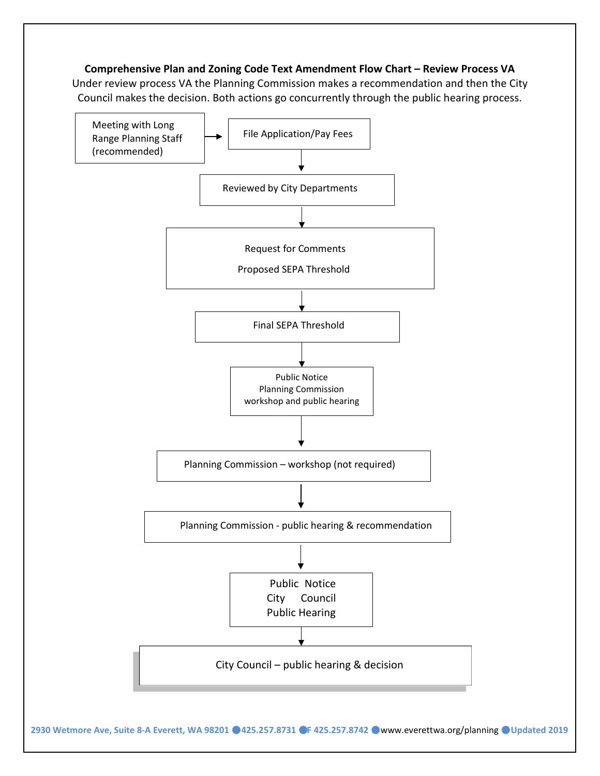#### **Comprehensive Plan and Zoning Code Text Amendment Flow Chart – Review Process VA**

Under review process VA the Planning Commission makes a recommendation and then the City Council makes the decision. Both actions go concurrently through the public hearing process.



**2930 Wetmore Ave, Suite 8-A Everett, WA 98201** ●**425.257.8731** ●**F 425.257.8742** ●[www.everettwa.org/planning](http://www.everettwa.org/planning) ●**Updated 2019**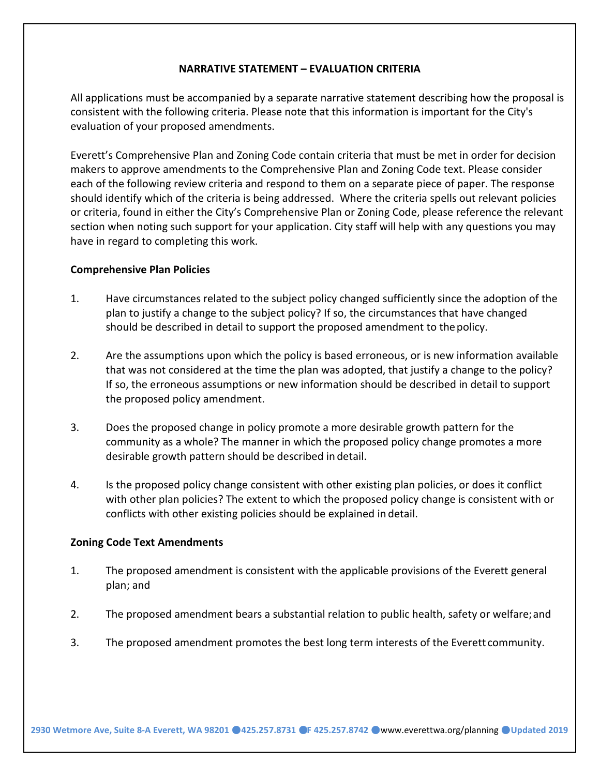#### **NARRATIVE STATEMENT – EVALUATION CRITERIA**

All applications must be accompanied by a separate narrative statement describing how the proposal is consistent with the following criteria. Please note that this information is important for the City's evaluation of your proposed amendments.

Everett's Comprehensive Plan and Zoning Code contain criteria that must be met in order for decision makers to approve amendments to the Comprehensive Plan and Zoning Code text. Please consider each of the following review criteria and respond to them on a separate piece of paper. The response should identify which of the criteria is being addressed. Where the criteria spells out relevant policies or criteria, found in either the City's Comprehensive Plan or Zoning Code, please reference the relevant section when noting such support for your application. City staff will help with any questions you may have in regard to completing this work.

#### **Comprehensive Plan Policies**

- 1. Have circumstances related to the subject policy changed sufficiently since the adoption of the plan to justify a change to the subject policy? If so, the circumstances that have changed should be described in detail to support the proposed amendment to thepolicy.
- 2. Are the assumptions upon which the policy is based erroneous, or is new information available that was not considered at the time the plan was adopted, that justify a change to the policy? If so, the erroneous assumptions or new information should be described in detail to support the proposed policy amendment.
- 3. Does the proposed change in policy promote a more desirable growth pattern for the community as a whole? The manner in which the proposed policy change promotes a more desirable growth pattern should be described in detail.
- 4. Is the proposed policy change consistent with other existing plan policies, or does it conflict with other plan policies? The extent to which the proposed policy change is consistent with or conflicts with other existing policies should be explained in detail.

#### **Zoning Code Text Amendments**

- 1. The proposed amendment is consistent with the applicable provisions of the Everett general plan; and
- 2. The proposed amendment bears a substantial relation to public health, safety or welfare;and
- 3. The proposed amendment promotes the best long term interests of the Everett community.